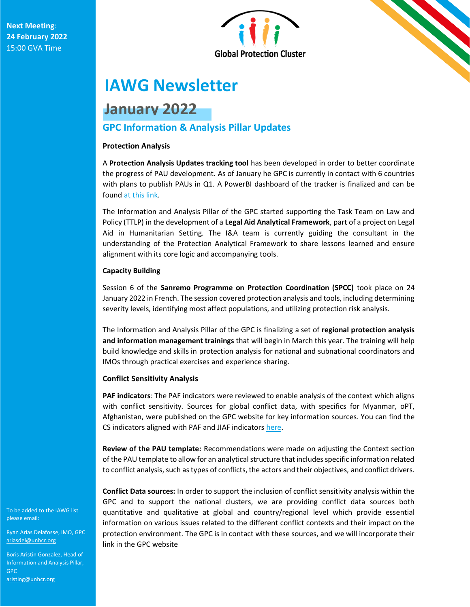

# **IAWG Newsletter**

# **January 2022**

# **GPC Information & Analysis Pillar Updates**

# **Protection Analysis**

A **Protection Analysis Updates tracking tool** has been developed in order to better coordinate the progress of PAU development. As of January he GPC is currently in contact with 6 countries with plans to publish PAUs in Q1. A PowerBI dashboard of the tracker is finalized and can be foun[d at this link.](https://www.globalprotectioncluster.org/protection-analysis-updates-tracking-tool/)

The Information and Analysis Pillar of the GPC started supporting the Task Team on Law and Policy (TTLP) in the development of a **Legal Aid Analytical Framework**, part of a project on Legal Aid in Humanitarian Setting. The I&A team is currently guiding the consultant in the understanding of the Protection Analytical Framework to share lessons learned and ensure alignment with its core logic and accompanying tools.

# **Capacity Building**

Session 6 of the **Sanremo Programme on Protection Coordination (SPCC)** took place on 24 January 2022 in French. The session covered protection analysis and tools, including determining severity levels, identifying most affect populations, and utilizing protection risk analysis.

The Information and Analysis Pillar of the GPC is finalizing a set of **regional protection analysis and information management trainings** that will begin in March this year. The training will help build knowledge and skills in protection analysis for national and subnational coordinators and IMOs through practical exercises and experience sharing.

# **Conflict Sensitivity Analysis**

**PAF indicators**: The PAF indicators were reviewed to enable analysis of the context which aligns with conflict sensitivity. Sources for global conflict data, with specifics for Myanmar, oPT, Afghanistan, were published on the GPC website for key information sources. You can find the CS indicators aligned with PAF and JIAF indicator[s here.](https://www.globalprotectioncluster.org/wp-content/uploads/JIAF_indicators_aligned_with_PAFCS_13012022.xlsx)

**Review of the PAU template:** Recommendations were made on adjusting the Context section of the PAU template to allow for an analytical structure that includes specific information related to conflict analysis, such as types of conflicts, the actors and their objectives, and conflict drivers.

**Conflict Data sources:** In order to support the inclusion of conflict sensitivity analysis within the GPC and to support the national clusters, we are providing conflict data sources both quantitative and qualitative at global and country/regional level which provide essential information on various issues related to the different conflict contexts and their impact on the protection environment. The GPC is in contact with these sources, and we will incorporate their link in the GPC website

To be added to the IAWG list please email:

Ryan Arias Delafosse, IMO, GPC [ariasdel@unhcr.org](mailto:ariasdel@unhcr.org)

Boris Aristin Gonzalez, Head of Boris Aristin Gonzalez, Head of [Information and Ana](mailto:ariasdel@unhcr.org)lysis Pillar, GPC

aristing@unhcr.org